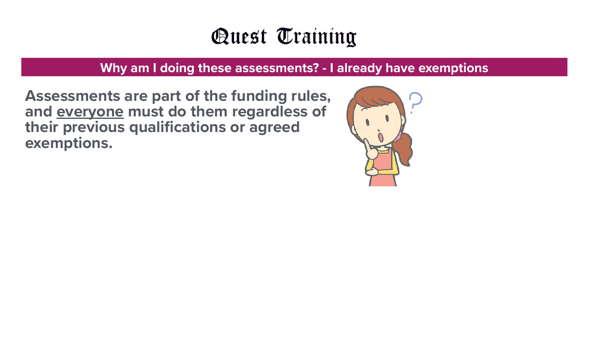#### **Why am I doing these assessments? - I already have exemptions**

**Assessments are part of the funding rules, and everyone must do them regardless of their previous qualifications or agreed exemptions.**

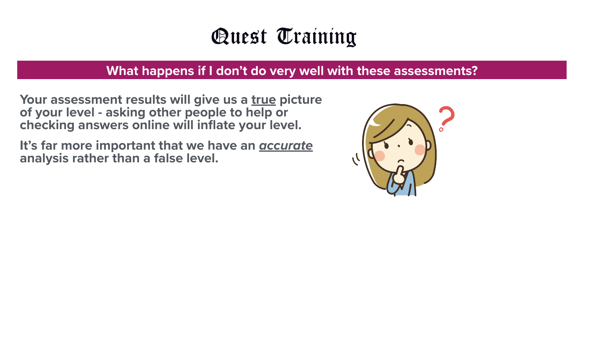#### **What happens if I don't do very well with these assessments?**

**Your assessment results will give us a true picture of your level - asking other people to help or checking answers online will inflate your level.** 

**It's far more important that we have an** *accurate* **analysis rather than a false level.** 

- 
- 
- 

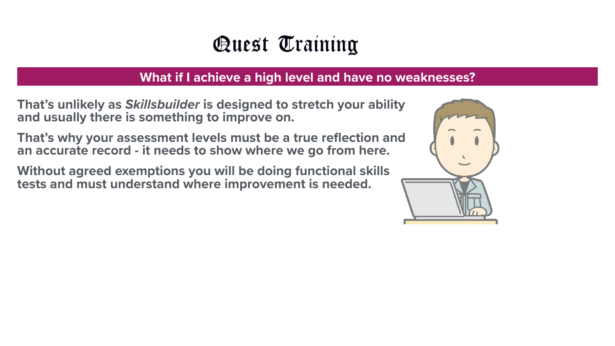#### **What if I achieve a high level and have no weaknesses?**

**That's unlikely as** *Skillsbuilder* **is designed to stretch your ability and usually there is something to improve on.** 

**That's why your assessment levels must be a true reflection and an accurate record - it needs to show where we go from here.** 

**Without agreed exemptions you will be doing functional skills tests and must understand where improvement is needed.**

- 
- 
- 



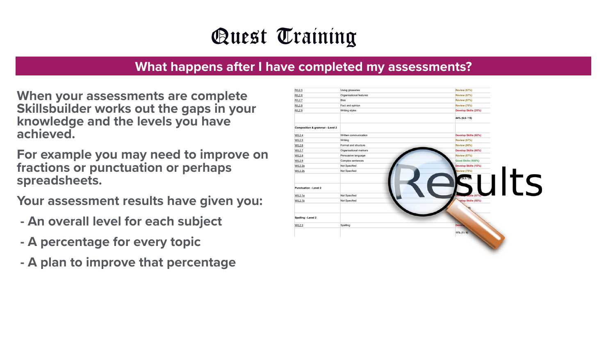#### **What happens after I have completed my assessments?**

**When your assessments are complete Skillsbuilder works out the gaps in your knowledge and the levels you have achieved.** 

**For example you may need to improve on fractions or punctuation or perhaps spreadsheets.** 

**Your assessment results have given you:** 

- **An overall level for each subject**
- **A percentage for every topic**
- **A plan to improve that percentage**



| R/L2.5                                     | Using glossaries        | <b>Review (67%)</b>  |      |
|--------------------------------------------|-------------------------|----------------------|------|
| R/L2.6                                     | Organisational features | <b>Review (67%)</b>  |      |
| R/L2.7                                     | <b>Bias</b>             | <b>Review (67%)</b>  |      |
| R/L2.8                                     | Fact and opinion        | <b>Review (75%)</b>  |      |
| R/L2.9                                     | Writing styles          | Develop Skills (25%) |      |
|                                            |                         | 44% (6.6 / 15)       |      |
| <b>Composition &amp; grammar - Level 2</b> |                         |                      |      |
| <b>W/L2.4</b>                              | Written communication   | Develop Skills (60%) |      |
| W/L2.5                                     | Writing                 | <b>Review (67%)</b>  |      |
| W/L2.6                                     | Format and structure    | <b>Review (80%)</b>  |      |
| W/L2.7                                     | Organisational markers  | Develop Skills (60%) |      |
| W/L2.8                                     | Persuasive language     | <b>Review (67%)</b>  |      |
| W/L2.9                                     | Complex sentences       | Good Skills (100%)   |      |
| <b>W/L2.2a</b>                             | Not Specified           | Develop Skills (10%) |      |
| W/L2.2b                                    | Not Specified           | <b>Review (75%)</b>  |      |
|                                            |                         | (8.3 / 20)           | Ults |
| <b>Punctuation - Level 2</b>               |                         |                      |      |
| W/L2.1a                                    | Not Specified           |                      |      |
| W/L2.1b                                    | Not Specified           | velop Skills (50%)   |      |
|                                            |                         |                      |      |
| Spelling - Level 2                         |                         |                      |      |
| W/L2.3                                     | Spelling                | <b>Develo</b>        |      |
|                                            |                         | 11% (1 / 9)          |      |
|                                            |                         |                      |      |
|                                            |                         |                      |      |